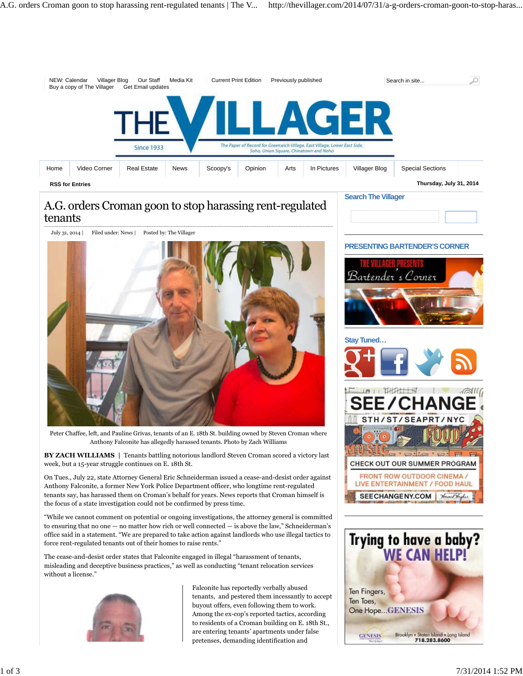

## A.G. orders Croman goon to stop harassing rent-regulated tenants



Peter Chaffee, left, and Pauline Grivas, tenants of an E. 18th St. building owned by Steven Croman where Anthony Falconite has allegedly harassed tenants. Photo by Zach Williams

**BY ZACH WILLIAMS |** Tenants battling notorious landlord Steven Croman scored a victory last week, but a 15-year struggle continues on E. 18th St.

On Tues., July 22, state Attorney General Eric Schneiderman issued a cease-and-desist order against Anthony Falconite, a former New York Police Department officer, who longtime rent-regulated tenants say, has harassed them on Croman's behalf for years. News reports that Croman himself is the focus of a state investigation could not be confirmed by press time.

"While we cannot comment on potential or ongoing investigations, the attorney general is committed to ensuring that no one — no matter how rich or well connected — is above the law," Schneiderman's office said in a statement. "We are prepared to take action against landlords who use illegal tactics to force rent-regulated tenants out of their homes to raise rents."

The cease-and-desist order states that Falconite engaged in illegal "harassment of tenants, misleading and deceptive business practices," as well as conducting "tenant relocation services without a license."



Falconite has reportedly verbally abused tenants, and pestered them incessantly to accept buyout offers, even following them to work. Among the ex-cop's reported tactics, according to residents of a Croman building on E. 18th St., are entering tenants' apartments under false pretenses, demanding identification and

### **PRESENTING BARTENDER'S CORNER**





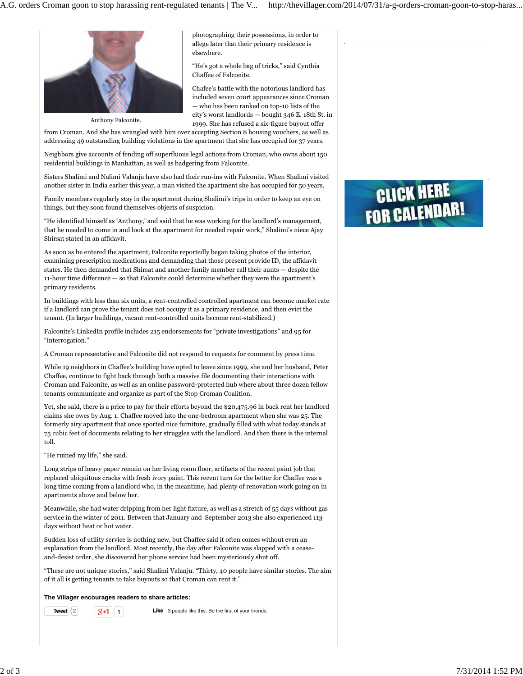

photographing their possessions, in order to allege later that their primary residence is elsewhere.

"He's got a whole bag of tricks," said Cynthia Chaffee of Falconite.

Chafee's battle with the notorious landlord has included seven court appearances since Croman — who has been ranked on top-10 lists of the city's worst landlords — bought 346 E. 18th St. in 1999. She has refused a six-figure buyout offer

from Croman. And she has wrangled with him over accepting Section 8 housing vouchers, as well as addressing 49 outstanding building violations in the apartment that she has occupied for 37 years.

Neighbors give accounts of fending off superfluous legal actions from Croman, who owns about 150 residential buildings in Manhattan, as well as badgering from Falconite.

Sisters Shalimi and Nalimi Valanju have also had their run-ins with Falconite. When Shalimi visited another sister in India earlier this year, a man visited the apartment she has occupied for 50 years.

Family members regularly stay in the apartment during Shalimi's trips in order to keep an eye on things, but they soon found themselves objects of suspicion.

"He identified himself as 'Anthony,' and said that he was working for the landlord's management, that he needed to come in and look at the apartment for needed repair work," Shalimi's niece Ajay Shirsat stated in an affidavit.

As soon as he entered the apartment, Falconite reportedly began taking photos of the interior, examining prescription medications and demanding that those present provide ID, the affidavit states. He then demanded that Shirsat and another family member call their aunts — despite the 11-hour time difference — so that Falconite could determine whether they were the apartment's primary residents.

In buildings with less than six units, a rent-controlled controlled apartment can become market rate if a landlord can prove the tenant does not occupy it as a primary residence, and then evict the tenant. (In larger buildings, vacant rent-controlled units become rent-stabilized.)

Falconite's LinkedIn profile includes 215 endorsements for "private investigations" and 95 for "interrogation."

A Croman representative and Falconite did not respond to requests for comment by press time.

While 19 neighbors in Chaffee's building have opted to leave since 1999, she and her husband, Peter Chaffee, continue to fight back through both a massive file documenting their interactions with Croman and Falconite, as well as an online password-protected hub where about three dozen fellow tenants communicate and organize as part of the Stop Croman Coalition.

Yet, she said, there is a price to pay for their efforts beyond the \$20,475.96 in back rent her landlord claims she owes by Aug. 1. Chaffee moved into the one-bedroom apartment when she was 25. The formerly airy apartment that once sported nice furniture, gradually filled with what today stands at 75 cubic feet of documents relating to her struggles with the landlord. And then there is the internal toll.

"He ruined my life," she said.

Long strips of heavy paper remain on her living room floor, artifacts of the recent paint job that replaced ubiquitous cracks with fresh ivory paint. This recent turn for the better for Chaffee was a long time coming from a landlord who, in the meantime, had plenty of renovation work going on in apartments above and below her.

Meanwhile, she had water dripping from her light fixture, as well as a stretch of 55 days without gas service in the winter of 2011. Between that January and September 2013 she also experienced 113 days without heat or hot water.

Sudden loss of utility service is nothing new, but Chaffee said it often comes without even an explanation from the landlord. Most recently, the day after Falconite was slapped with a ceaseand-desist order, she discovered her phone service had been mysteriously shut off.

"These are not unique stories," said Shalimi Valanju. "Thirty, 40 people have similar stories. The aim of it all is getting tenants to take buyouts so that Croman can rent it."

#### **The Villager encourages readers to share articles:**

**Tweet**  $\begin{array}{|c|c|c|c|c|}\n\hline\n\textbf{2} & \textbf{3} & \textbf{4} \\
\hline\n\textbf{4} & \textbf{5} & \textbf{6}\n\end{array}$  **Like** 3 people like this. Be the first of your friends.

# **CLICK HERE FOR CALENDAR!**